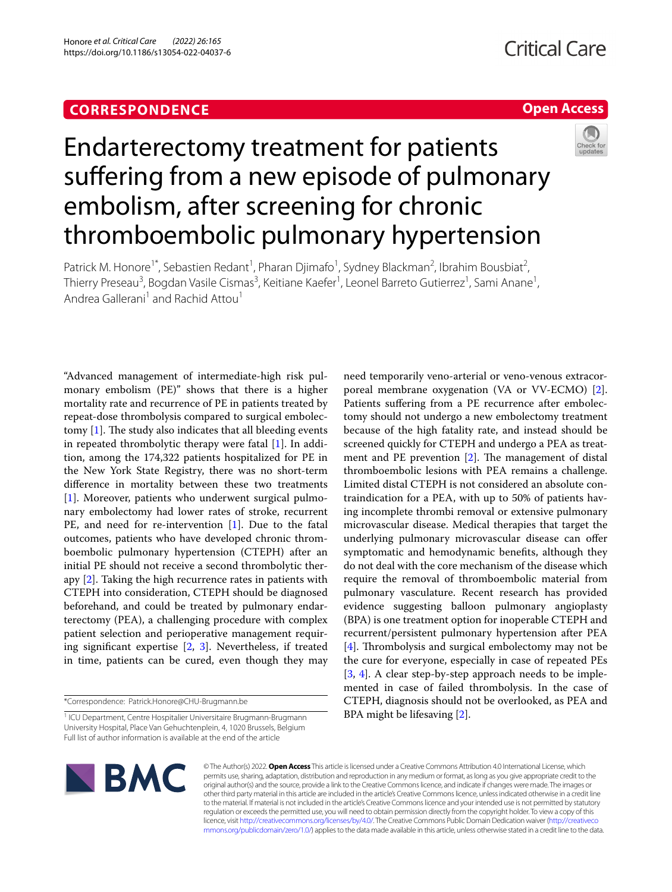# **CORRESPONDENCE**

# **Open Access**



# Endarterectomy treatment for patients suffering from a new episode of pulmonary embolism, after screening for chronic thromboembolic pulmonary hypertension

Patrick M. Honore<sup>1\*</sup>, Sebastien Redant<sup>1</sup>, Pharan Djimafo<sup>1</sup>, Sydney Blackman<sup>2</sup>, Ibrahim Bousbiat<sup>2</sup>, Thierry Preseau<sup>3</sup>, Bogdan Vasile Cismas<sup>3</sup>, Keitiane Kaefer<sup>1</sup>, Leonel Barreto Gutierrez<sup>1</sup>, Sami Anane<sup>1</sup>, Andrea Gallerani<sup>1</sup> and Rachid Attou<sup>1</sup>

"Advanced management of intermediate-high risk pulmonary embolism (PE)" shows that there is a higher mortality rate and recurrence of PE in patients treated by repeat-dose thrombolysis compared to surgical embolectomy  $[1]$  $[1]$ . The study also indicates that all bleeding events in repeated thrombolytic therapy were fatal [[1\]](#page-1-0). In addition, among the 174,322 patients hospitalized for PE in the New York State Registry, there was no short-term diference in mortality between these two treatments [[1\]](#page-1-0). Moreover, patients who underwent surgical pulmonary embolectomy had lower rates of stroke, recurrent PE, and need for re-intervention [[1\]](#page-1-0). Due to the fatal outcomes, patients who have developed chronic thromboembolic pulmonary hypertension (CTEPH) after an initial PE should not receive a second thrombolytic therapy [[2\]](#page-1-1). Taking the high recurrence rates in patients with CTEPH into consideration, CTEPH should be diagnosed beforehand, and could be treated by pulmonary endarterectomy (PEA), a challenging procedure with complex patient selection and perioperative management requiring signifcant expertise [\[2](#page-1-1), [3](#page-1-2)]. Nevertheless, if treated in time, patients can be cured, even though they may

need temporarily veno-arterial or veno-venous extracorporeal membrane oxygenation (VA or VV-ECMO) [\[2](#page-1-1)]. Patients suffering from a PE recurrence after embolectomy should not undergo a new embolectomy treatment because of the high fatality rate, and instead should be screened quickly for CTEPH and undergo a PEA as treatment and PE prevention  $[2]$  $[2]$ . The management of distal thromboembolic lesions with PEA remains a challenge. Limited distal CTEPH is not considered an absolute contraindication for a PEA, with up to 50% of patients having incomplete thrombi removal or extensive pulmonary microvascular disease. Medical therapies that target the underlying pulmonary microvascular disease can offer symptomatic and hemodynamic benefts, although they do not deal with the core mechanism of the disease which require the removal of thromboembolic material from pulmonary vasculature. Recent research has provided evidence suggesting balloon pulmonary angioplasty (BPA) is one treatment option for inoperable CTEPH and recurrent/persistent pulmonary hypertension after PEA [[4\]](#page-1-3). Thrombolysis and surgical embolectomy may not be the cure for everyone, especially in case of repeated PEs [[3,](#page-1-2) [4](#page-1-3)]. A clear step-by-step approach needs to be implemented in case of failed thrombolysis. In the case of CTEPH, diagnosis should not be overlooked, as PEA and BPA might be lifesaving [\[2\]](#page-1-1).



© The Author(s) 2022. **Open Access** This article is licensed under a Creative Commons Attribution 4.0 International License, which permits use, sharing, adaptation, distribution and reproduction in any medium or format, as long as you give appropriate credit to the original author(s) and the source, provide a link to the Creative Commons licence, and indicate if changes were made. The images or other third party material in this article are included in the article's Creative Commons licence, unless indicated otherwise in a credit line to the material. If material is not included in the article's Creative Commons licence and your intended use is not permitted by statutory regulation or exceeds the permitted use, you will need to obtain permission directly from the copyright holder. To view a copy of this licence, visit [http://creativecommons.org/licenses/by/4.0/.](http://creativecommons.org/licenses/by/4.0/) The Creative Commons Public Domain Dedication waiver ([http://creativeco](http://creativecommons.org/publicdomain/zero/1.0/) [mmons.org/publicdomain/zero/1.0/](http://creativecommons.org/publicdomain/zero/1.0/)) applies to the data made available in this article, unless otherwise stated in a credit line to the data.

<sup>\*</sup>Correspondence: Patrick.Honore@CHU-Brugmann.be

<sup>&</sup>lt;sup>1</sup> ICU Department, Centre Hospitalier Universitaire Brugmann-Brugmann University Hospital, Place Van Gehuchtenplein, 4, 1020 Brussels, Belgium Full list of author information is available at the end of the article